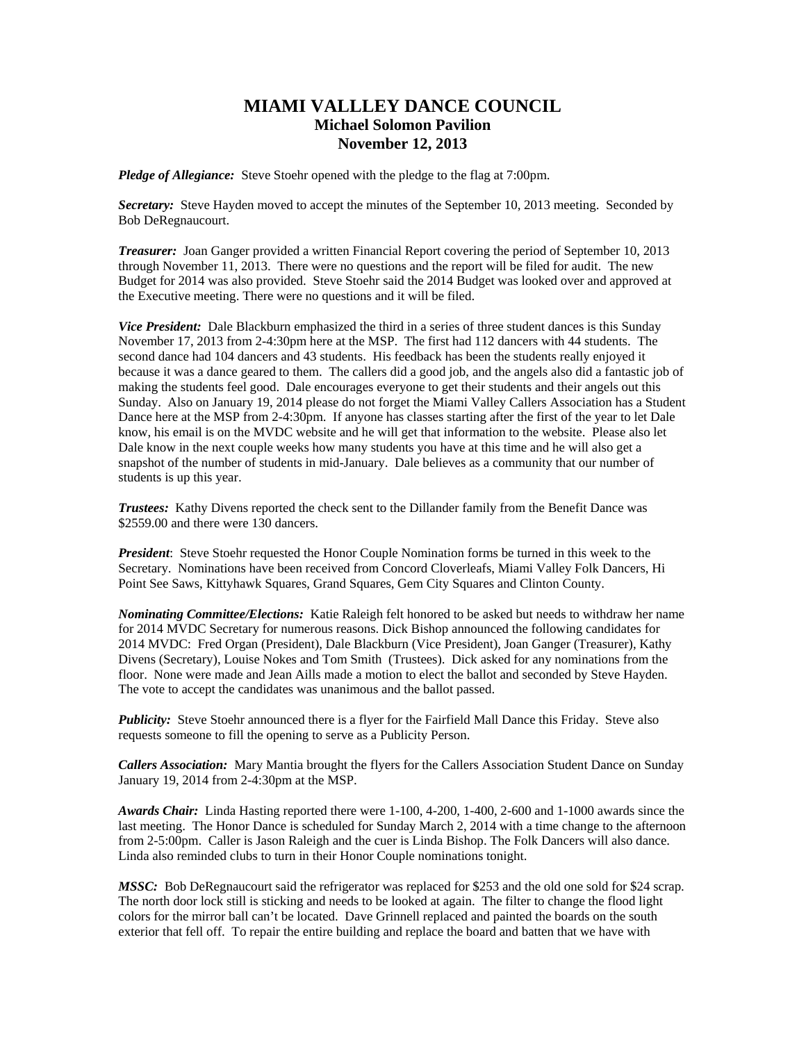## **MIAMI VALLLEY DANCE COUNCIL Michael Solomon Pavilion November 12, 2013**

*Pledge of Allegiance:* Steve Stoehr opened with the pledge to the flag at 7:00pm.

*Secretary:* Steve Hayden moved to accept the minutes of the September 10, 2013 meeting. Seconded by Bob DeRegnaucourt.

*Treasurer:* Joan Ganger provided a written Financial Report covering the period of September 10, 2013 through November 11, 2013. There were no questions and the report will be filed for audit. The new Budget for 2014 was also provided. Steve Stoehr said the 2014 Budget was looked over and approved at the Executive meeting. There were no questions and it will be filed.

*Vice President:* Dale Blackburn emphasized the third in a series of three student dances is this Sunday November 17, 2013 from 2-4:30pm here at the MSP. The first had 112 dancers with 44 students. The second dance had 104 dancers and 43 students. His feedback has been the students really enjoyed it because it was a dance geared to them. The callers did a good job, and the angels also did a fantastic job of making the students feel good. Dale encourages everyone to get their students and their angels out this Sunday. Also on January 19, 2014 please do not forget the Miami Valley Callers Association has a Student Dance here at the MSP from 2-4:30pm. If anyone has classes starting after the first of the year to let Dale know, his email is on the MVDC website and he will get that information to the website. Please also let Dale know in the next couple weeks how many students you have at this time and he will also get a snapshot of the number of students in mid-January. Dale believes as a community that our number of students is up this year.

*Trustees:* Kathy Divens reported the check sent to the Dillander family from the Benefit Dance was \$2559.00 and there were 130 dancers.

*President*: Steve Stoehr requested the Honor Couple Nomination forms be turned in this week to the Secretary. Nominations have been received from Concord Cloverleafs, Miami Valley Folk Dancers, Hi Point See Saws, Kittyhawk Squares, Grand Squares, Gem City Squares and Clinton County.

*Nominating Committee/Elections:* Katie Raleigh felt honored to be asked but needs to withdraw her name for 2014 MVDC Secretary for numerous reasons. Dick Bishop announced the following candidates for 2014 MVDC: Fred Organ (President), Dale Blackburn (Vice President), Joan Ganger (Treasurer), Kathy Divens (Secretary), Louise Nokes and Tom Smith (Trustees). Dick asked for any nominations from the floor. None were made and Jean Aills made a motion to elect the ballot and seconded by Steve Hayden. The vote to accept the candidates was unanimous and the ballot passed.

*Publicity:* Steve Stoehr announced there is a flyer for the Fairfield Mall Dance this Friday. Steve also requests someone to fill the opening to serve as a Publicity Person.

*Callers Association:* Mary Mantia brought the flyers for the Callers Association Student Dance on Sunday January 19, 2014 from 2-4:30pm at the MSP.

*Awards Chair:* Linda Hasting reported there were 1-100, 4-200, 1-400, 2-600 and 1-1000 awards since the last meeting. The Honor Dance is scheduled for Sunday March 2, 2014 with a time change to the afternoon from 2-5:00pm. Caller is Jason Raleigh and the cuer is Linda Bishop. The Folk Dancers will also dance. Linda also reminded clubs to turn in their Honor Couple nominations tonight.

*MSSC:* Bob DeRegnaucourt said the refrigerator was replaced for \$253 and the old one sold for \$24 scrap. The north door lock still is sticking and needs to be looked at again. The filter to change the flood light colors for the mirror ball can't be located. Dave Grinnell replaced and painted the boards on the south exterior that fell off. To repair the entire building and replace the board and batten that we have with